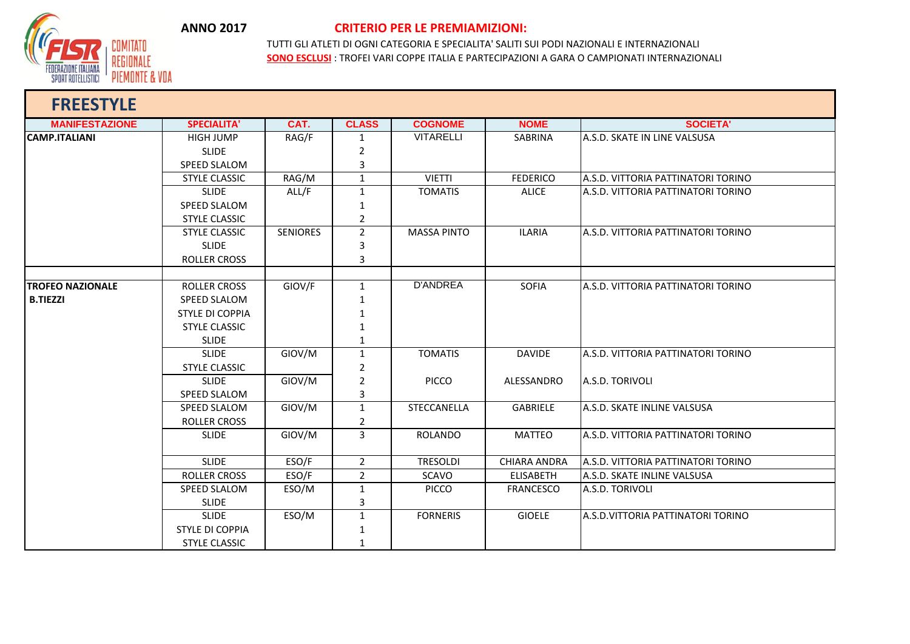

## **ANNO 2017 CRITERIO PER LE PREMIAMIZIONI:**

TUTTI GLI ATLETI DI OGNI CATEGORIA E SPECIALITA' SALITI SUI PODI NAZIONALI E INTERNAZIONALI **SONO ESCLUSI** : TROFEI VARI COPPE ITALIA E PARTECIPAZIONI A GARA O CAMPIONATI INTERNAZIONALI

| <b>FREESTYLE</b>        |                        |                 |                |                    |                     |                                           |
|-------------------------|------------------------|-----------------|----------------|--------------------|---------------------|-------------------------------------------|
| <b>MANIFESTAZIONE</b>   | <b>SPECIALITA'</b>     | CAT.            | <b>CLASS</b>   | <b>COGNOME</b>     | <b>NOME</b>         | <b>SOCIETA'</b>                           |
| <b>CAMP.ITALIANI</b>    | <b>HIGH JUMP</b>       | RAG/F           | 1              | <b>VITARELLI</b>   | SABRINA             | A.S.D. SKATE IN LINE VALSUSA              |
|                         | <b>SLIDE</b>           |                 | $\overline{2}$ |                    |                     |                                           |
|                         | SPEED SLALOM           |                 | 3              |                    |                     |                                           |
|                         | <b>STYLE CLASSIC</b>   | RAG/M           | $\mathbf{1}$   | <b>VIETTI</b>      | <b>FEDERICO</b>     | A.S.D. VITTORIA PATTINATORI TORINO        |
|                         | <b>SLIDE</b>           | ALL/F           | $\mathbf{1}$   | <b>TOMATIS</b>     | <b>ALICE</b>        | <b>A.S.D. VITTORIA PATTINATORI TORINO</b> |
|                         | <b>SPEED SLALOM</b>    |                 | $\mathbf{1}$   |                    |                     |                                           |
|                         | <b>STYLE CLASSIC</b>   |                 | $\overline{2}$ |                    |                     |                                           |
|                         | <b>STYLE CLASSIC</b>   | <b>SENIORES</b> | $\overline{2}$ | <b>MASSA PINTO</b> | <b>ILARIA</b>       | A.S.D. VITTORIA PATTINATORI TORINO        |
|                         | <b>SLIDE</b>           |                 | 3              |                    |                     |                                           |
|                         | ROLLER CROSS           |                 | 3              |                    |                     |                                           |
|                         |                        |                 |                |                    |                     |                                           |
| <b>TROFEO NAZIONALE</b> | <b>ROLLER CROSS</b>    | GIOV/F          | $\mathbf{1}$   | <b>D'ANDREA</b>    | <b>SOFIA</b>        | <b>A.S.D. VITTORIA PATTINATORI TORINO</b> |
| <b>B.TIEZZI</b>         | <b>SPEED SLALOM</b>    |                 | $\mathbf{1}$   |                    |                     |                                           |
|                         | <b>STYLE DI COPPIA</b> |                 | $\mathbf 1$    |                    |                     |                                           |
|                         | <b>STYLE CLASSIC</b>   |                 | 1              |                    |                     |                                           |
|                         | <b>SLIDE</b>           |                 | 1              |                    |                     |                                           |
|                         | <b>SLIDE</b>           | GIOV/M          | $\mathbf{1}$   | <b>TOMATIS</b>     | <b>DAVIDE</b>       | A.S.D. VITTORIA PATTINATORI TORINO        |
|                         | <b>STYLE CLASSIC</b>   |                 | $\overline{2}$ |                    |                     |                                           |
|                         | <b>SLIDE</b>           | GIOV/M          | $\overline{2}$ | <b>PICCO</b>       | ALESSANDRO          | A.S.D. TORIVOLI                           |
|                         | <b>SPEED SLALOM</b>    |                 | 3              |                    |                     |                                           |
|                         | SPEED SLALOM           | GIOV/M          | $\mathbf{1}$   | STECCANELLA        | <b>GABRIELE</b>     | A.S.D. SKATE INLINE VALSUSA               |
|                         | <b>ROLLER CROSS</b>    |                 | $\overline{2}$ |                    |                     |                                           |
|                         | <b>SLIDE</b>           | GIOV/M          | $\overline{3}$ | <b>ROLANDO</b>     | <b>MATTEO</b>       | A.S.D. VITTORIA PATTINATORI TORINO        |
|                         | <b>SLIDE</b>           | ESO/F           | $\overline{2}$ | <b>TRESOLDI</b>    | <b>CHIARA ANDRA</b> | <b>A.S.D. VITTORIA PATTINATORI TORINO</b> |
|                         | <b>ROLLER CROSS</b>    | ESO/F           | $\overline{2}$ | SCAVO              | <b>ELISABETH</b>    | A.S.D. SKATE INLINE VALSUSA               |
|                         | SPEED SLALOM           | ESO/M           | $\mathbf{1}$   | <b>PICCO</b>       | <b>FRANCESCO</b>    | A.S.D. TORIVOLI                           |
|                         | <b>SLIDE</b>           |                 | $\mathbf{3}$   |                    |                     |                                           |
|                         | <b>SLIDE</b>           | ESO/M           | $\mathbf{1}$   | <b>FORNERIS</b>    | <b>GIOELE</b>       | LA.S.D.VITTORIA PATTINATORI TORINO        |
|                         | <b>STYLE DI COPPIA</b> |                 | $\mathbf 1$    |                    |                     |                                           |
|                         | <b>STYLE CLASSIC</b>   |                 | 1              |                    |                     |                                           |